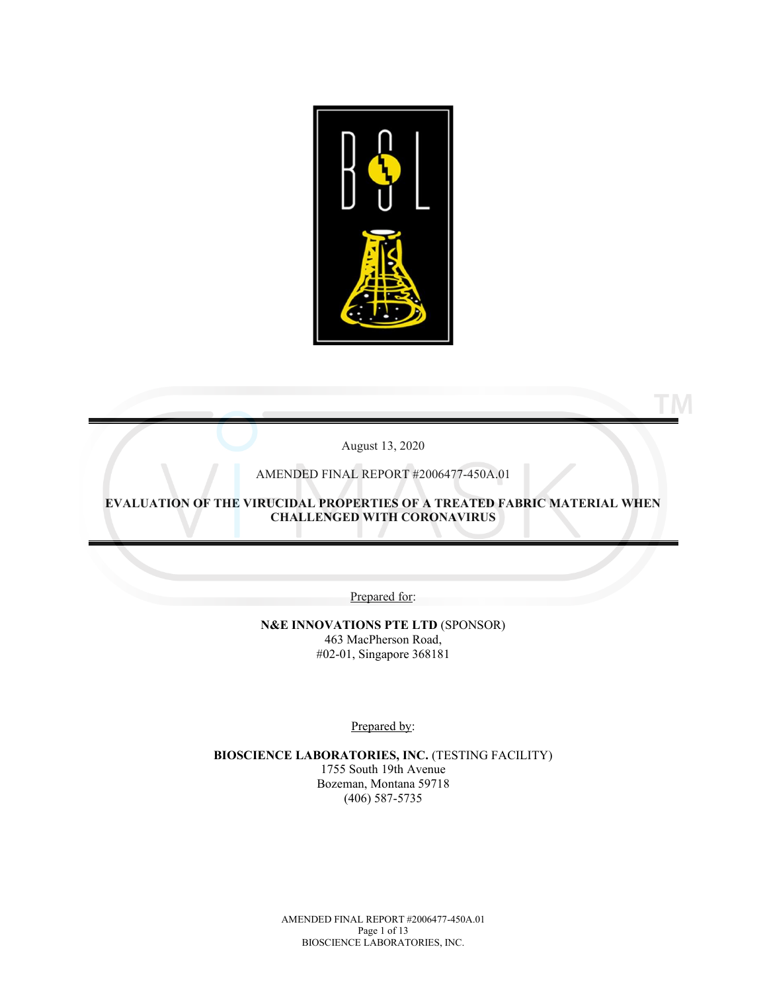

August 13, 2020

**TM** 

AMENDED FINAL REPORT #2006477-450A.01

**EVALUATION OF THE VIRUCIDAL PROPERTIES OF A TREATED FABRIC MATERIAL WHEN CHALLENGED WITH CORONAVIRUS**

Prepared for:

**N&E INNOVATIONS PTE LTD** (SPONSOR) 463 MacPherson Road, #02-01, Singapore 368181

Prepared by:

**BIOSCIENCE LABORATORIES, INC.** (TESTING FACILITY) 1755 South 19th Avenue Bozeman, Montana 59718 (406) 587-5735

> AMENDED FINAL REPORT #2006477-450A.01 Page 1 of 13 BIOSCIENCE LABORATORIES, INC.